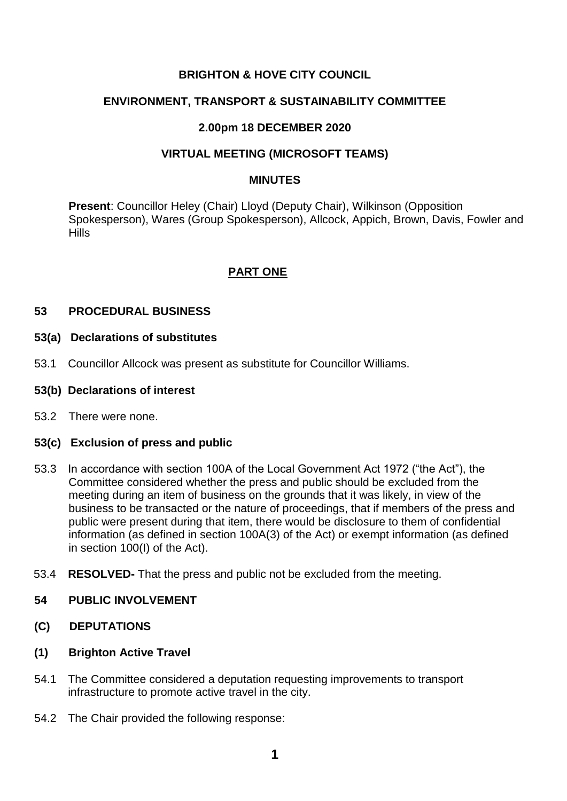# **BRIGHTON & HOVE CITY COUNCIL**

# **ENVIRONMENT, TRANSPORT & SUSTAINABILITY COMMITTEE**

# **2.00pm 18 DECEMBER 2020**

## **VIRTUAL MEETING (MICROSOFT TEAMS)**

#### **MINUTES**

**Present**: Councillor Heley (Chair) Lloyd (Deputy Chair), Wilkinson (Opposition Spokesperson), Wares (Group Spokesperson), Allcock, Appich, Brown, Davis, Fowler and Hills

# **PART ONE**

## **53 PROCEDURAL BUSINESS**

### **53(a) Declarations of substitutes**

53.1 Councillor Allcock was present as substitute for Councillor Williams.

#### **53(b) Declarations of interest**

53.2 There were none.

## **53(c) Exclusion of press and public**

- 53.3 In accordance with section 100A of the Local Government Act 1972 ("the Act"), the Committee considered whether the press and public should be excluded from the meeting during an item of business on the grounds that it was likely, in view of the business to be transacted or the nature of proceedings, that if members of the press and public were present during that item, there would be disclosure to them of confidential information (as defined in section 100A(3) of the Act) or exempt information (as defined in section 100(I) of the Act).
- 53.4 **RESOLVED-** That the press and public not be excluded from the meeting.

## **54 PUBLIC INVOLVEMENT**

- **(C) DEPUTATIONS**
- **(1) Brighton Active Travel**
- 54.1 The Committee considered a deputation requesting improvements to transport infrastructure to promote active travel in the city.
- 54.2 The Chair provided the following response: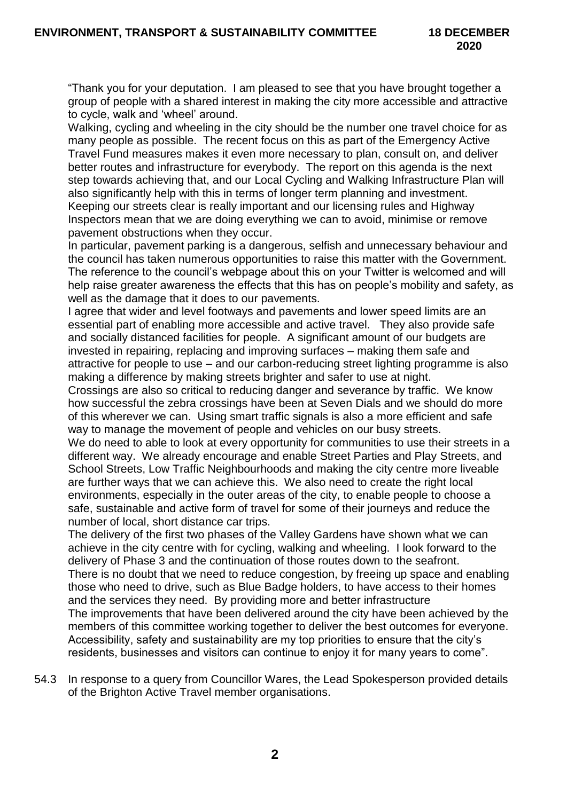"Thank you for your deputation. I am pleased to see that you have brought together a group of people with a shared interest in making the city more accessible and attractive to cycle, walk and 'wheel' around.

Walking, cycling and wheeling in the city should be the number one travel choice for as many people as possible. The recent focus on this as part of the Emergency Active Travel Fund measures makes it even more necessary to plan, consult on, and deliver better routes and infrastructure for everybody. The report on this agenda is the next step towards achieving that, and our Local Cycling and Walking Infrastructure Plan will also significantly help with this in terms of longer term planning and investment. Keeping our streets clear is really important and our licensing rules and Highway Inspectors mean that we are doing everything we can to avoid, minimise or remove pavement obstructions when they occur.

In particular, pavement parking is a dangerous, selfish and unnecessary behaviour and the council has taken numerous opportunities to raise this matter with the Government. The reference to the council's webpage about this on your Twitter is welcomed and will help raise greater awareness the effects that this has on people's mobility and safety, as well as the damage that it does to our pavements.

I agree that wider and level footways and pavements and lower speed limits are an essential part of enabling more accessible and active travel. They also provide safe and socially distanced facilities for people. A significant amount of our budgets are invested in repairing, replacing and improving surfaces – making them safe and attractive for people to use – and our carbon-reducing street lighting programme is also making a difference by making streets brighter and safer to use at night.

Crossings are also so critical to reducing danger and severance by traffic. We know how successful the zebra crossings have been at Seven Dials and we should do more of this wherever we can. Using smart traffic signals is also a more efficient and safe way to manage the movement of people and vehicles on our busy streets.

We do need to able to look at every opportunity for communities to use their streets in a different way. We already encourage and enable Street Parties and Play Streets, and School Streets, Low Traffic Neighbourhoods and making the city centre more liveable are further ways that we can achieve this. We also need to create the right local environments, especially in the outer areas of the city, to enable people to choose a safe, sustainable and active form of travel for some of their journeys and reduce the number of local, short distance car trips.

The delivery of the first two phases of the Valley Gardens have shown what we can achieve in the city centre with for cycling, walking and wheeling. I look forward to the delivery of Phase 3 and the continuation of those routes down to the seafront. There is no doubt that we need to reduce congestion, by freeing up space and enabling those who need to drive, such as Blue Badge holders, to have access to their homes and the services they need. By providing more and better infrastructure The improvements that have been delivered around the city have been achieved by the members of this committee working together to deliver the best outcomes for everyone. Accessibility, safety and sustainability are my top priorities to ensure that the city's residents, businesses and visitors can continue to enjoy it for many years to come".

54.3 In response to a query from Councillor Wares, the Lead Spokesperson provided details of the Brighton Active Travel member organisations.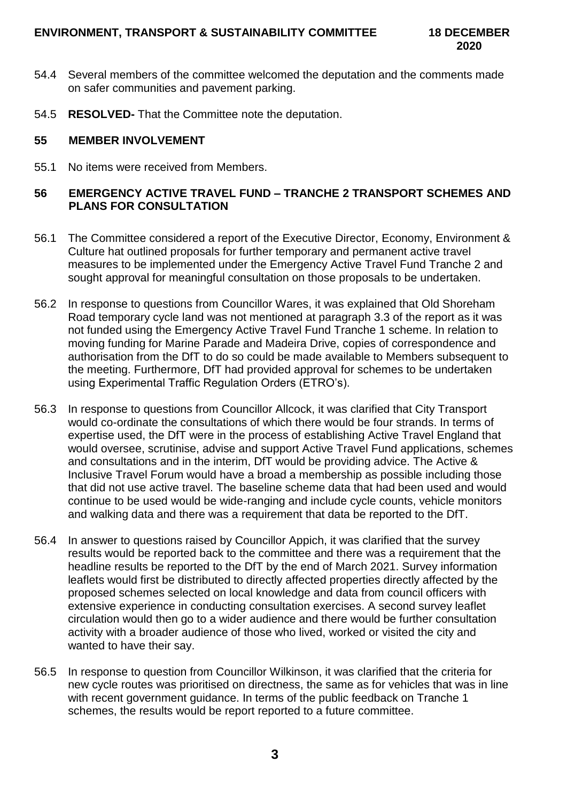- 54.4 Several members of the committee welcomed the deputation and the comments made on safer communities and pavement parking.
- 54.5 **RESOLVED-** That the Committee note the deputation.

### **55 MEMBER INVOLVEMENT**

55.1 No items were received from Members.

# **56 EMERGENCY ACTIVE TRAVEL FUND – TRANCHE 2 TRANSPORT SCHEMES AND PLANS FOR CONSULTATION**

- 56.1 The Committee considered a report of the Executive Director, Economy, Environment & Culture hat outlined proposals for further temporary and permanent active travel measures to be implemented under the Emergency Active Travel Fund Tranche 2 and sought approval for meaningful consultation on those proposals to be undertaken.
- 56.2 In response to questions from Councillor Wares, it was explained that Old Shoreham Road temporary cycle land was not mentioned at paragraph 3.3 of the report as it was not funded using the Emergency Active Travel Fund Tranche 1 scheme. In relation to moving funding for Marine Parade and Madeira Drive, copies of correspondence and authorisation from the DfT to do so could be made available to Members subsequent to the meeting. Furthermore, DfT had provided approval for schemes to be undertaken using Experimental Traffic Regulation Orders (ETRO's).
- 56.3 In response to questions from Councillor Allcock, it was clarified that City Transport would co-ordinate the consultations of which there would be four strands. In terms of expertise used, the DfT were in the process of establishing Active Travel England that would oversee, scrutinise, advise and support Active Travel Fund applications, schemes and consultations and in the interim, DfT would be providing advice. The Active & Inclusive Travel Forum would have a broad a membership as possible including those that did not use active travel. The baseline scheme data that had been used and would continue to be used would be wide-ranging and include cycle counts, vehicle monitors and walking data and there was a requirement that data be reported to the DfT.
- 56.4 In answer to questions raised by Councillor Appich, it was clarified that the survey results would be reported back to the committee and there was a requirement that the headline results be reported to the DfT by the end of March 2021. Survey information leaflets would first be distributed to directly affected properties directly affected by the proposed schemes selected on local knowledge and data from council officers with extensive experience in conducting consultation exercises. A second survey leaflet circulation would then go to a wider audience and there would be further consultation activity with a broader audience of those who lived, worked or visited the city and wanted to have their say.
- 56.5 In response to question from Councillor Wilkinson, it was clarified that the criteria for new cycle routes was prioritised on directness, the same as for vehicles that was in line with recent government guidance. In terms of the public feedback on Tranche 1 schemes, the results would be report reported to a future committee.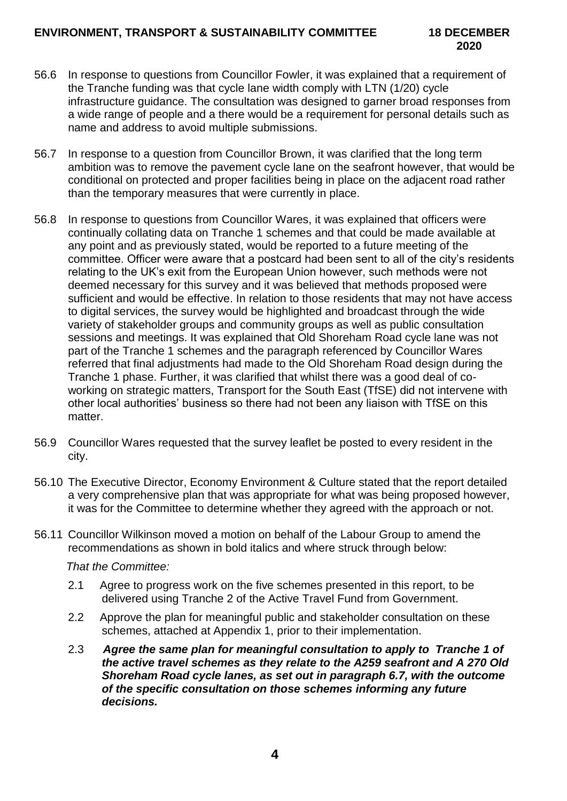- 56.6 In response to questions from Councillor Fowler, it was explained that a requirement of the Tranche funding was that cycle lane width comply with LTN (1/20) cycle infrastructure guidance. The consultation was designed to garner broad responses from a wide range of people and a there would be a requirement for personal details such as name and address to avoid multiple submissions.
- 56.7 In response to a question from Councillor Brown, it was clarified that the long term ambition was to remove the pavement cycle lane on the seafront however, that would be conditional on protected and proper facilities being in place on the adjacent road rather than the temporary measures that were currently in place.
- 56.8 In response to questions from Councillor Wares, it was explained that officers were continually collating data on Tranche 1 schemes and that could be made available at any point and as previously stated, would be reported to a future meeting of the committee. Officer were aware that a postcard had been sent to all of the city's residents relating to the UK's exit from the European Union however, such methods were not deemed necessary for this survey and it was believed that methods proposed were sufficient and would be effective. In relation to those residents that may not have access to digital services, the survey would be highlighted and broadcast through the wide variety of stakeholder groups and community groups as well as public consultation sessions and meetings. It was explained that Old Shoreham Road cycle lane was not part of the Tranche 1 schemes and the paragraph referenced by Councillor Wares referred that final adjustments had made to the Old Shoreham Road design during the Tranche 1 phase. Further, it was clarified that whilst there was a good deal of coworking on strategic matters, Transport for the South East (TfSE) did not intervene with other local authorities' business so there had not been any liaison with TfSE on this matter.
- 56.9 Councillor Wares requested that the survey leaflet be posted to every resident in the city.
- 56.10 The Executive Director, Economy Environment & Culture stated that the report detailed a very comprehensive plan that was appropriate for what was being proposed however, it was for the Committee to determine whether they agreed with the approach or not.
- 56.11 Councillor Wilkinson moved a motion on behalf of the Labour Group to amend the recommendations as shown in bold italics and where struck through below:

 *That the Committee:*

- 2.1 Agree to progress work on the five schemes presented in this report, to be delivered using Tranche 2 of the Active Travel Fund from Government.
- 2.2 Approve the plan for meaningful public and stakeholder consultation on these schemes, attached at Appendix 1, prior to their implementation.
- 2.3 *Agree the same plan for meaningful consultation to apply to Tranche 1 of the active travel schemes as they relate to the A259 seafront and A 270 Old Shoreham Road cycle lanes, as set out in paragraph 6.7, with the outcome of the specific consultation on those schemes informing any future decisions.*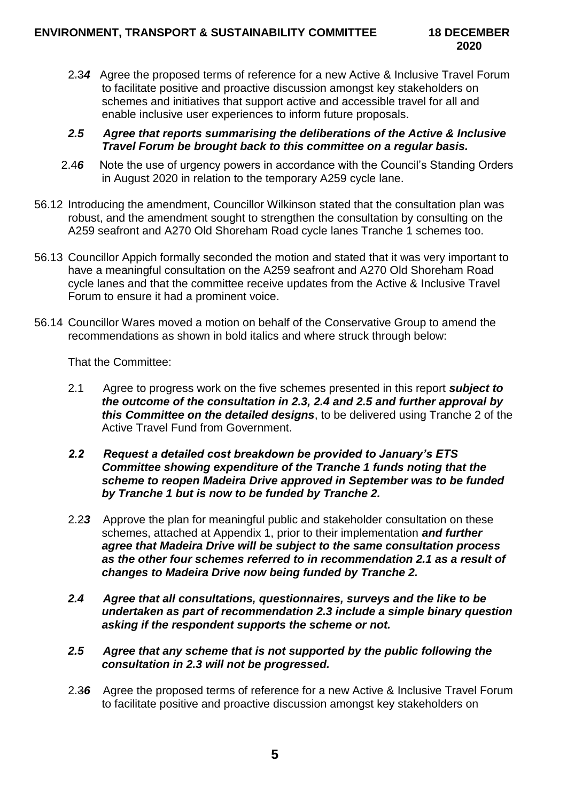2.3*4* Agree the proposed terms of reference for a new Active & Inclusive Travel Forum to facilitate positive and proactive discussion amongst key stakeholders on schemes and initiatives that support active and accessible travel for all and enable inclusive user experiences to inform future proposals.

### *2.5 Agree that reports summarising the deliberations of the Active & Inclusive Travel Forum be brought back to this committee on a regular basis.*

- 2.4*6* Note the use of urgency powers in accordance with the Council's Standing Orders in August 2020 in relation to the temporary A259 cycle lane.
- 56.12 Introducing the amendment, Councillor Wilkinson stated that the consultation plan was robust, and the amendment sought to strengthen the consultation by consulting on the A259 seafront and A270 Old Shoreham Road cycle lanes Tranche 1 schemes too.
- 56.13 Councillor Appich formally seconded the motion and stated that it was very important to have a meaningful consultation on the A259 seafront and A270 Old Shoreham Road cycle lanes and that the committee receive updates from the Active & Inclusive Travel Forum to ensure it had a prominent voice.
- 56.14 Councillor Wares moved a motion on behalf of the Conservative Group to amend the recommendations as shown in bold italics and where struck through below:

That the Committee:

- 2.1 Agree to progress work on the five schemes presented in this report *subject to the outcome of the consultation in 2.3, 2.4 and 2.5 and further approval by this Committee on the detailed designs*, to be delivered using Tranche 2 of the Active Travel Fund from Government.
- *2.2 Request a detailed cost breakdown be provided to January's ETS Committee showing expenditure of the Tranche 1 funds noting that the scheme to reopen Madeira Drive approved in September was to be funded by Tranche 1 but is now to be funded by Tranche 2.*
- 2.2*3* Approve the plan for meaningful public and stakeholder consultation on these schemes, attached at Appendix 1, prior to their implementation *and further agree that Madeira Drive will be subject to the same consultation process as the other four schemes referred to in recommendation 2.1 as a result of changes to Madeira Drive now being funded by Tranche 2.*
- *2.4 Agree that all consultations, questionnaires, surveys and the like to be undertaken as part of recommendation 2.3 include a simple binary question asking if the respondent supports the scheme or not.*
- *2.5 Agree that any scheme that is not supported by the public following the consultation in 2.3 will not be progressed.*
- 2.3*6* Agree the proposed terms of reference for a new Active & Inclusive Travel Forum to facilitate positive and proactive discussion amongst key stakeholders on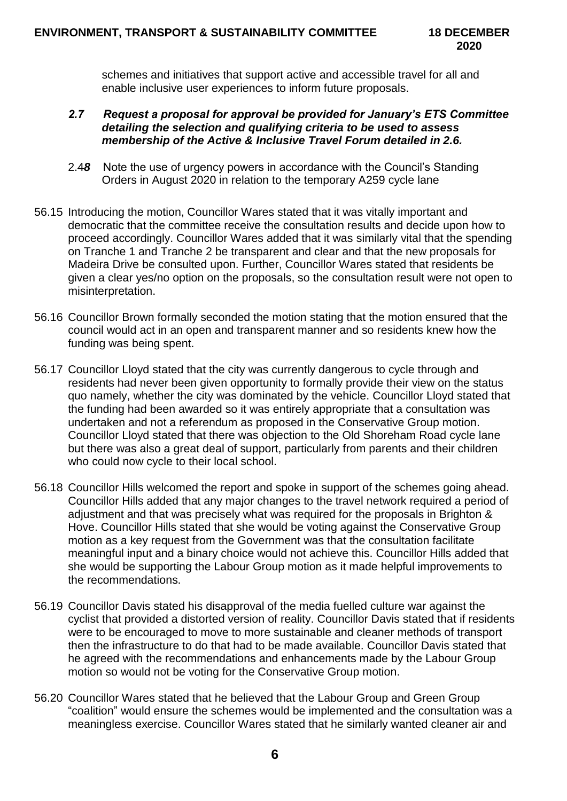schemes and initiatives that support active and accessible travel for all and enable inclusive user experiences to inform future proposals.

### *2.7 Request a proposal for approval be provided for January's ETS Committee detailing the selection and qualifying criteria to be used to assess membership of the Active & Inclusive Travel Forum detailed in 2.6.*

- 2.4*8* Note the use of urgency powers in accordance with the Council's Standing Orders in August 2020 in relation to the temporary A259 cycle lane
- 56.15 Introducing the motion, Councillor Wares stated that it was vitally important and democratic that the committee receive the consultation results and decide upon how to proceed accordingly. Councillor Wares added that it was similarly vital that the spending on Tranche 1 and Tranche 2 be transparent and clear and that the new proposals for Madeira Drive be consulted upon. Further, Councillor Wares stated that residents be given a clear yes/no option on the proposals, so the consultation result were not open to misinterpretation.
- 56.16 Councillor Brown formally seconded the motion stating that the motion ensured that the council would act in an open and transparent manner and so residents knew how the funding was being spent.
- 56.17 Councillor Lloyd stated that the city was currently dangerous to cycle through and residents had never been given opportunity to formally provide their view on the status quo namely, whether the city was dominated by the vehicle. Councillor Lloyd stated that the funding had been awarded so it was entirely appropriate that a consultation was undertaken and not a referendum as proposed in the Conservative Group motion. Councillor Lloyd stated that there was objection to the Old Shoreham Road cycle lane but there was also a great deal of support, particularly from parents and their children who could now cycle to their local school.
- 56.18 Councillor Hills welcomed the report and spoke in support of the schemes going ahead. Councillor Hills added that any major changes to the travel network required a period of adjustment and that was precisely what was required for the proposals in Brighton & Hove. Councillor Hills stated that she would be voting against the Conservative Group motion as a key request from the Government was that the consultation facilitate meaningful input and a binary choice would not achieve this. Councillor Hills added that she would be supporting the Labour Group motion as it made helpful improvements to the recommendations.
- 56.19 Councillor Davis stated his disapproval of the media fuelled culture war against the cyclist that provided a distorted version of reality. Councillor Davis stated that if residents were to be encouraged to move to more sustainable and cleaner methods of transport then the infrastructure to do that had to be made available. Councillor Davis stated that he agreed with the recommendations and enhancements made by the Labour Group motion so would not be voting for the Conservative Group motion.
- 56.20 Councillor Wares stated that he believed that the Labour Group and Green Group "coalition" would ensure the schemes would be implemented and the consultation was a meaningless exercise. Councillor Wares stated that he similarly wanted cleaner air and